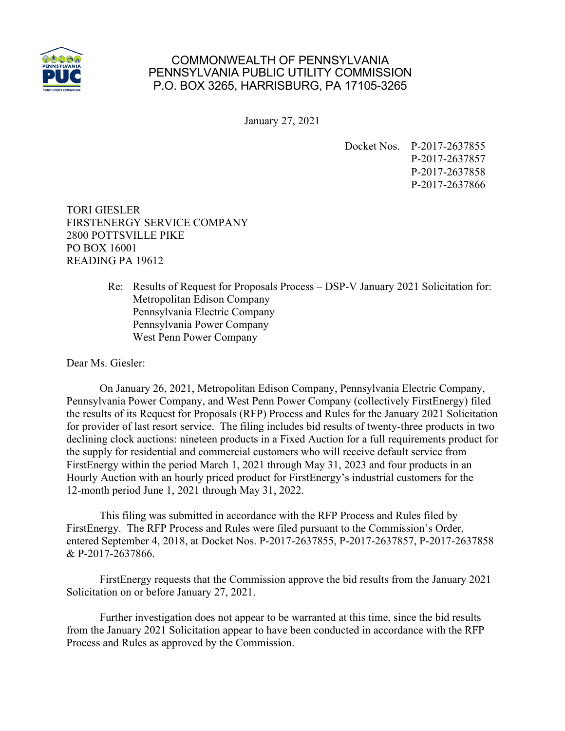

## COMMONWEALTH OF PENNSYLVANIA PENNSYLVANIA PUBLIC UTILITY COMMISSION P.O. BOX 3265, HARRISBURG, PA 17105-3265

January 27, 2021

Docket Nos. P-2017-2637855 P-2017-2637857 P-2017-2637858 P-2017-2637866

TORI GIESLER FIRSTENERGY SERVICE COMPANY 2800 POTTSVILLE PIKE PO BOX 16001 READING PA 19612

> Re: Results of Request for Proposals Process – DSP-V January 2021 Solicitation for: Metropolitan Edison Company Pennsylvania Electric Company Pennsylvania Power Company West Penn Power Company

Dear Ms. Giesler:

On January 26, 2021, Metropolitan Edison Company, Pennsylvania Electric Company, Pennsylvania Power Company, and West Penn Power Company (collectively FirstEnergy) filed the results of its Request for Proposals (RFP) Process and Rules for the January 2021 Solicitation for provider of last resort service. The filing includes bid results of twenty-three products in two declining clock auctions: nineteen products in a Fixed Auction for a full requirements product for the supply for residential and commercial customers who will receive default service from FirstEnergy within the period March 1, 2021 through May 31, 2023 and four products in an Hourly Auction with an hourly priced product for FirstEnergy's industrial customers for the 12-month period June 1, 2021 through May 31, 2022.

This filing was submitted in accordance with the RFP Process and Rules filed by FirstEnergy. The RFP Process and Rules were filed pursuant to the Commission's Order, entered September 4, 2018, at Docket Nos. P-2017-2637855, P-2017-2637857, P-2017-2637858 & P-2017-2637866.

FirstEnergy requests that the Commission approve the bid results from the January 2021 Solicitation on or before January 27, 2021.

Further investigation does not appear to be warranted at this time, since the bid results from the January 2021 Solicitation appear to have been conducted in accordance with the RFP Process and Rules as approved by the Commission.